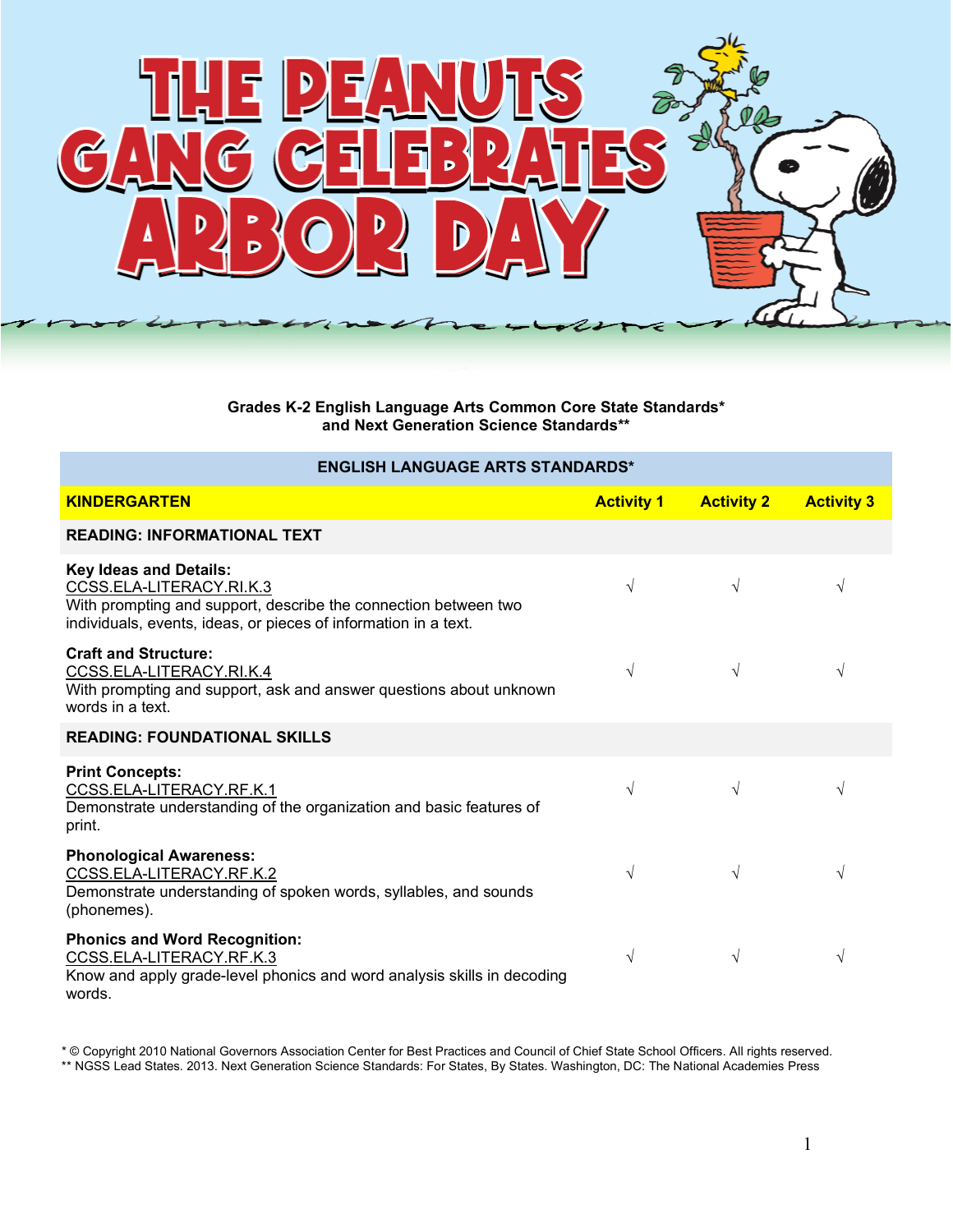

**Grades K-2 English Language Arts Common Core State Standards\* and Next Generation Science Standards\*\***

## **ENGLISH LANGUAGE ARTS STANDARDS\***

| <b>KINDERGARTEN</b>                                                                                                                                                                             | <b>Activity 1</b> | <b>Activity 2</b> | <b>Activity 3</b> |
|-------------------------------------------------------------------------------------------------------------------------------------------------------------------------------------------------|-------------------|-------------------|-------------------|
| <b>READING: INFORMATIONAL TEXT</b>                                                                                                                                                              |                   |                   |                   |
| <b>Key Ideas and Details:</b><br>CCSS.ELA-LITERACY.RI.K.3<br>With prompting and support, describe the connection between two<br>individuals, events, ideas, or pieces of information in a text. | $\sqrt{}$         | $\sqrt{ }$        | V                 |
| <b>Craft and Structure:</b><br>CCSS.ELA-LITERACY.RI.K.4<br>With prompting and support, ask and answer questions about unknown<br>words in a text.                                               | V                 | $\sqrt{}$         | V                 |
| <b>READING: FOUNDATIONAL SKILLS</b>                                                                                                                                                             |                   |                   |                   |
| <b>Print Concepts:</b><br>CCSS.ELA-LITERACY.RF.K.1<br>Demonstrate understanding of the organization and basic features of<br>print.                                                             | $\sqrt{}$         | $\sqrt{}$         | V                 |
| <b>Phonological Awareness:</b><br>CCSS.ELA-LITERACY.RF.K.2<br>Demonstrate understanding of spoken words, syllables, and sounds<br>(phonemes).                                                   | $\sqrt{}$         | V                 | V                 |
| <b>Phonics and Word Recognition:</b><br>CCSS.ELA-LITERACY.RF.K.3<br>Know and apply grade-level phonics and word analysis skills in decoding<br>words.                                           | $\sqrt{}$         | V                 | V                 |

\* © Copyright 2010 National Governors Association Center for Best Practices and Council of Chief State School Officers. All rights reserved. \*\* NGSS Lead States. 2013. Next Generation Science Standards: For States, By States. Washington, DC: The National Academies Press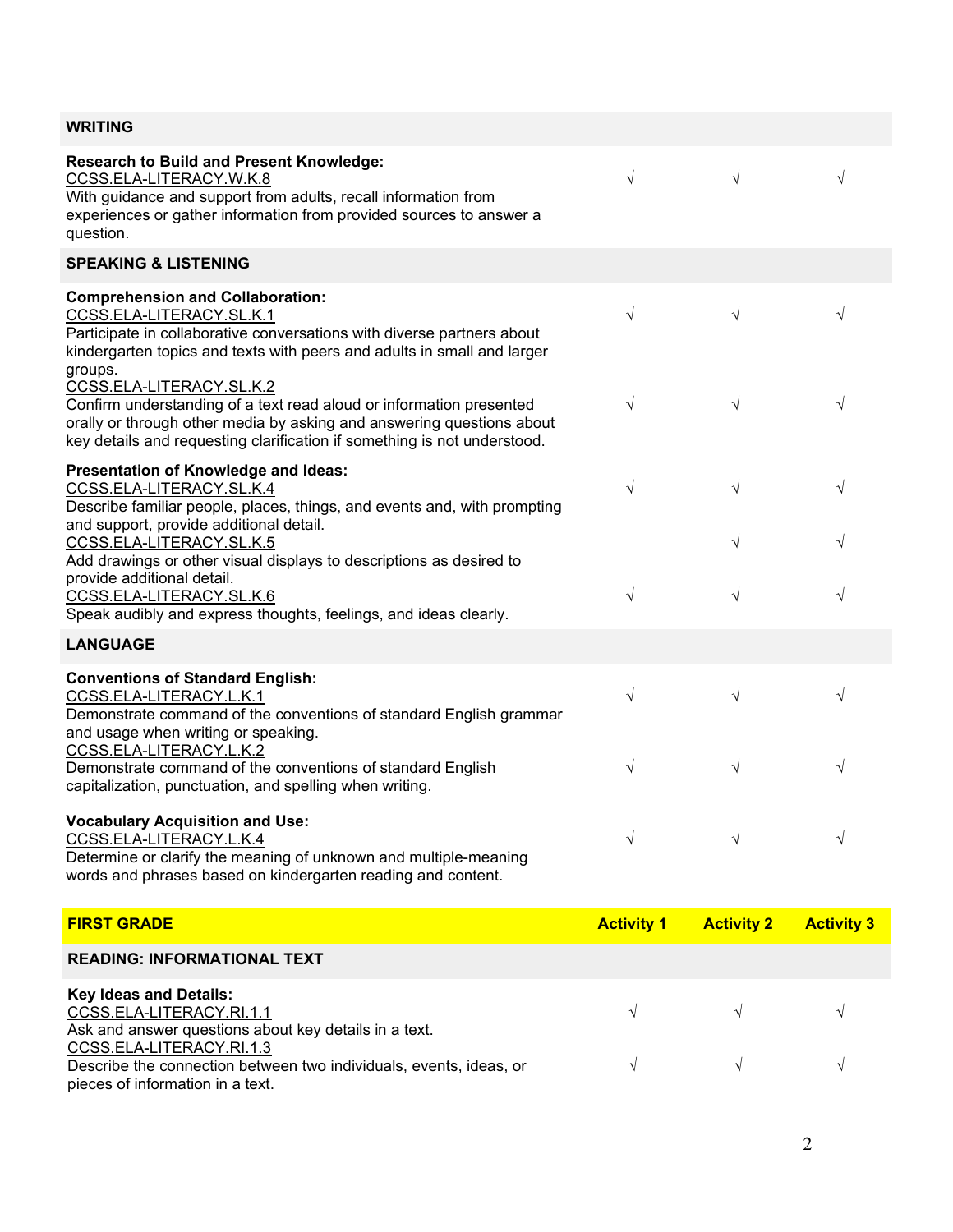| <b>WRITING</b> |  |
|----------------|--|
|                |  |

| <b>Research to Build and Present Knowledge:</b><br>CCSS.ELA-LITERACY.W.K.8<br>With guidance and support from adults, recall information from<br>experiences or gather information from provided sources to answer a<br>question.                     | $\sqrt{}$         | $\sqrt{ }$        | $\sqrt{}$         |
|------------------------------------------------------------------------------------------------------------------------------------------------------------------------------------------------------------------------------------------------------|-------------------|-------------------|-------------------|
| <b>SPEAKING &amp; LISTENING</b>                                                                                                                                                                                                                      |                   |                   |                   |
| <b>Comprehension and Collaboration:</b><br>CCSS.ELA-LITERACY.SL.K.1<br>Participate in collaborative conversations with diverse partners about<br>kindergarten topics and texts with peers and adults in small and larger<br>groups.                  | $\sqrt{}$         | $\sqrt{}$         | $\sqrt{}$         |
| CCSS.ELA-LITERACY.SL.K.2<br>Confirm understanding of a text read aloud or information presented<br>orally or through other media by asking and answering questions about<br>key details and requesting clarification if something is not understood. | $\sqrt{}$         | $\sqrt{}$         | $\sqrt{}$         |
| Presentation of Knowledge and Ideas:<br>CCSS.ELA-LITERACY.SL.K.4<br>Describe familiar people, places, things, and events and, with prompting                                                                                                         | $\sqrt{}$         | $\sqrt{}$         | $\sqrt{}$         |
| and support, provide additional detail.<br>CCSS.ELA-LITERACY.SL.K.5<br>Add drawings or other visual displays to descriptions as desired to<br>provide additional detail.                                                                             |                   | $\sqrt{}$         | $\sqrt{}$         |
| CCSS.ELA-LITERACY.SL.K.6<br>Speak audibly and express thoughts, feelings, and ideas clearly.                                                                                                                                                         | $\sqrt{}$         | $\sqrt{}$         | $\sqrt{}$         |
| <b>LANGUAGE</b>                                                                                                                                                                                                                                      |                   |                   |                   |
| <b>Conventions of Standard English:</b><br>CCSS.ELA-LITERACY.L.K.1<br>Demonstrate command of the conventions of standard English grammar<br>and usage when writing or speaking.                                                                      | $\sqrt{}$         | $\sqrt{}$         | $\sqrt{}$         |
| CCSS.ELA-LITERACY.L.K.2<br>Demonstrate command of the conventions of standard English<br>capitalization, punctuation, and spelling when writing.                                                                                                     | $\sqrt{}$         | $\sqrt{}$         | $\sqrt{}$         |
| <b>Vocabulary Acquisition and Use:</b><br>CCSS.ELA-LITERACY.L.K.4<br>Determine or clarify the meaning of unknown and multiple-meaning<br>words and phrases based on kindergarten reading and content.                                                | V                 |                   | V                 |
| <b>FIRST GRADE</b>                                                                                                                                                                                                                                   | <b>Activity 1</b> | <b>Activity 2</b> | <b>Activity 3</b> |
| <b>READING: INFORMATIONAL TEXT</b>                                                                                                                                                                                                                   |                   |                   |                   |
| <b>Key Ideas and Details:</b><br>CCSS.ELA-LITERACY.RI.1.1                                                                                                                                                                                            |                   |                   |                   |

Ask and answer questions about key details in a text. CCSS.ELA-LITERACY.RI.1.3 Describe the connection between two individuals, events, ideas, or pieces of information in a text. √ √ √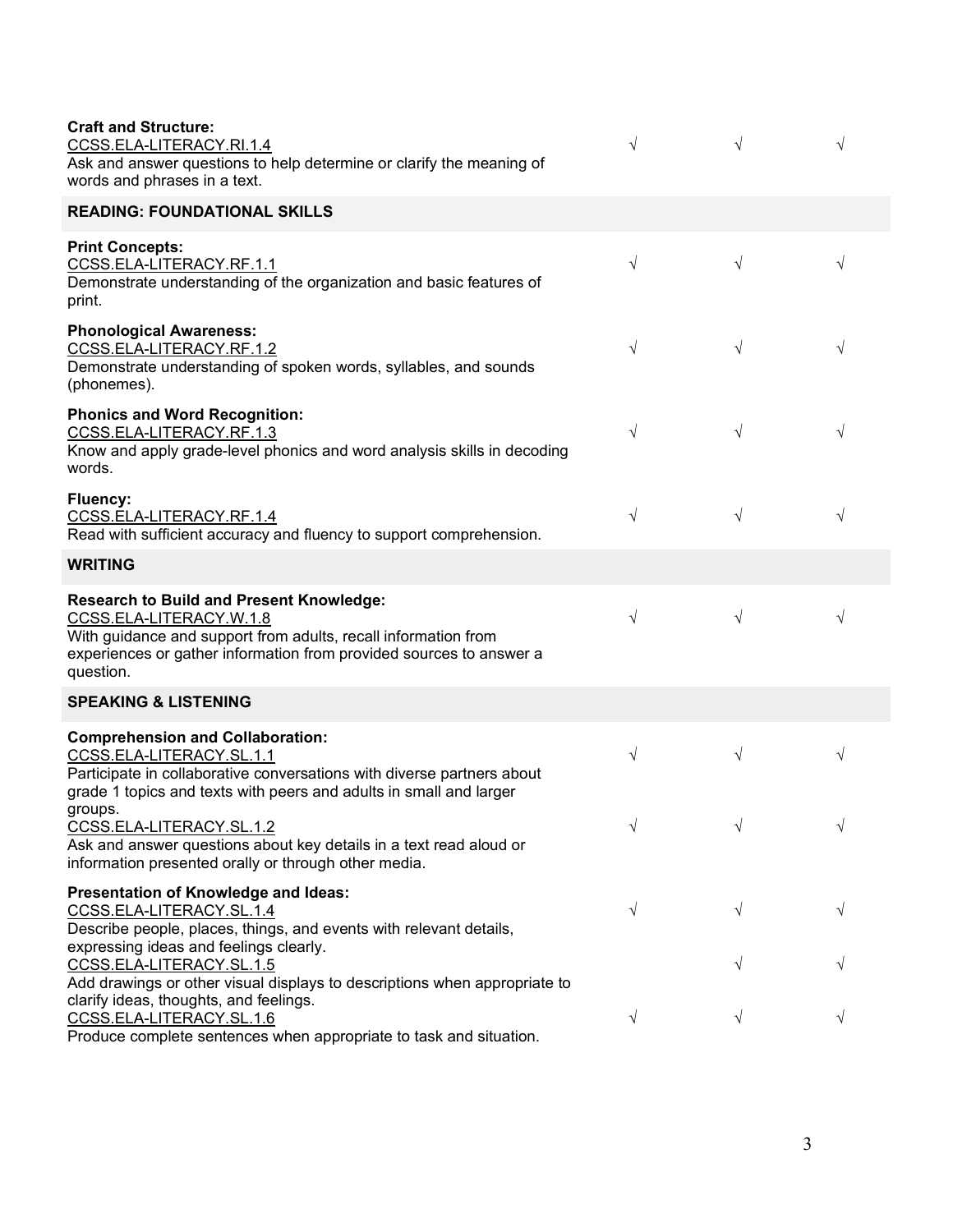| <b>Craft and Structure:</b><br>CCSS.ELA-LITERACY.RI.1.4<br>Ask and answer questions to help determine or clarify the meaning of<br>words and phrases in a text.                                                                  | $\sqrt{}$ | $\sqrt{ }$ | $\sqrt{ }$ |
|----------------------------------------------------------------------------------------------------------------------------------------------------------------------------------------------------------------------------------|-----------|------------|------------|
| <b>READING: FOUNDATIONAL SKILLS</b>                                                                                                                                                                                              |           |            |            |
| <b>Print Concepts:</b><br>CCSS.ELA-LITERACY.RF.1.1<br>Demonstrate understanding of the organization and basic features of<br>print.                                                                                              | $\sqrt{}$ | $\sqrt{}$  | V          |
| <b>Phonological Awareness:</b><br>CCSS.ELA-LITERACY.RF.1.2<br>Demonstrate understanding of spoken words, syllables, and sounds<br>(phonemes).                                                                                    | $\sqrt{}$ | $\sqrt{}$  | $\sqrt{}$  |
| <b>Phonics and Word Recognition:</b><br>CCSS.ELA-LITERACY.RF.1.3<br>Know and apply grade-level phonics and word analysis skills in decoding<br>words.                                                                            | $\sqrt{}$ | $\sqrt{ }$ | $\sqrt{}$  |
| Fluency:<br>CCSS.ELA-LITERACY.RF.1.4<br>Read with sufficient accuracy and fluency to support comprehension.                                                                                                                      | $\sqrt{}$ | $\sqrt{}$  | $\sqrt{}$  |
| <b>WRITING</b>                                                                                                                                                                                                                   |           |            |            |
| <b>Research to Build and Present Knowledge:</b><br>CCSS.ELA-LITERACY.W.1.8<br>With guidance and support from adults, recall information from<br>experiences or gather information from provided sources to answer a<br>question. | $\sqrt{}$ | $\sqrt{}$  | $\sqrt{}$  |
| <b>SPEAKING &amp; LISTENING</b>                                                                                                                                                                                                  |           |            |            |
| <b>Comprehension and Collaboration:</b><br>CCSS.ELA-LITERACY.SL.1.1<br>Participate in collaborative conversations with diverse partners about<br>grade 1 topics and texts with peers and adults in small and larger              | $\sqrt{}$ | $\sqrt{ }$ | V          |
| groups.<br>CCSS.ELA-LITERACY.SL.1.2<br>Ask and answer questions about key details in a text read aloud or<br>information presented orally or through other media.                                                                | $\sqrt{}$ | $\sqrt{}$  | V          |
| Presentation of Knowledge and Ideas:<br>CCSS.ELA-LITERACY.SL.1.4<br>Describe people, places, things, and events with relevant details,<br>expressing ideas and feelings clearly.                                                 | $\sqrt{}$ | V          | V          |
| CCSS.ELA-LITERACY.SL.1.5<br>Add drawings or other visual displays to descriptions when appropriate to                                                                                                                            |           |            |            |
| clarify ideas, thoughts, and feelings.<br>CCSS.ELA-LITERACY.SL.1.6<br>Produce complete sentences when appropriate to task and situation.                                                                                         | $\sqrt{}$ | $\sqrt{}$  | V          |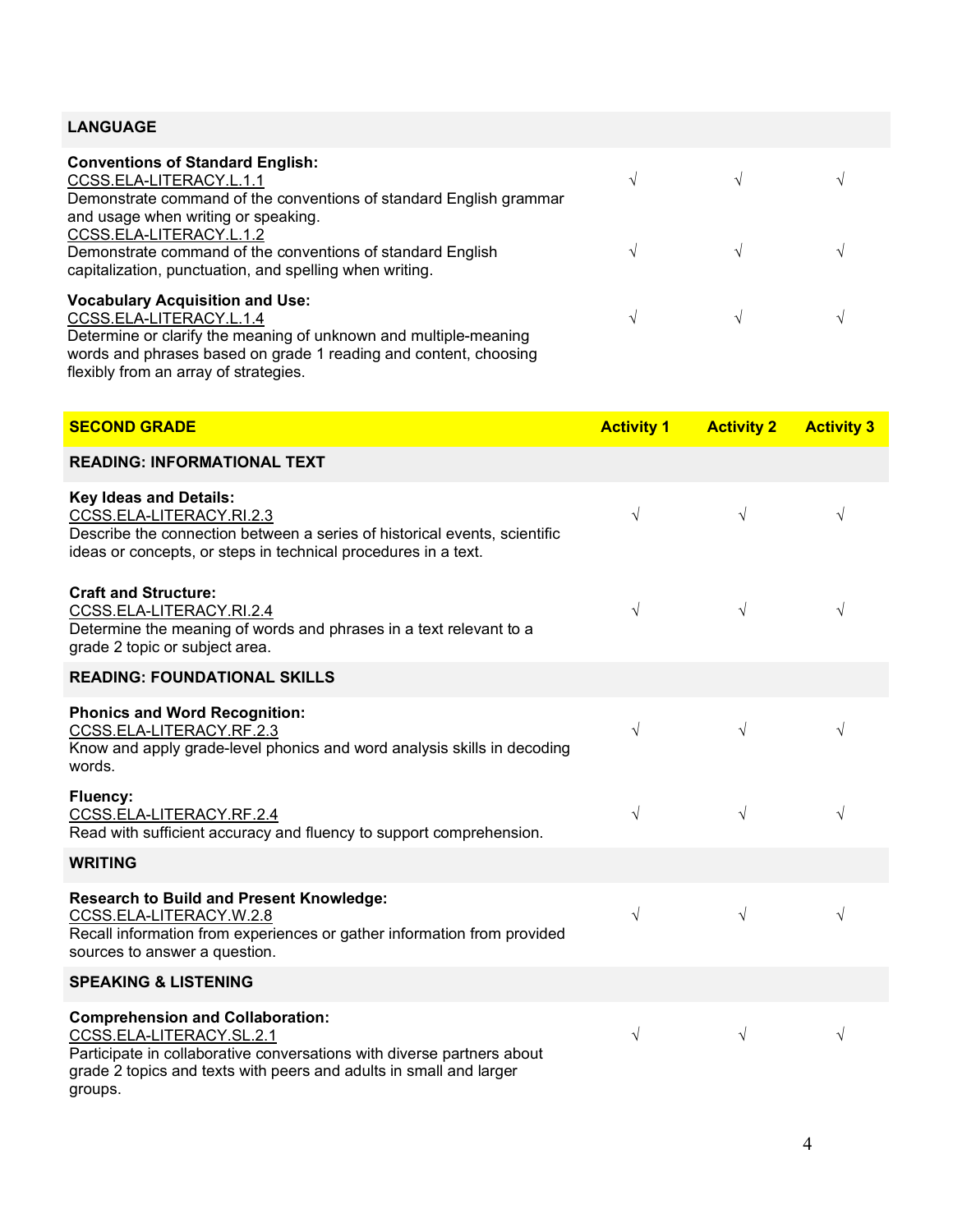## **LANGUAGE**

| <b>Conventions of Standard English:</b><br>CCSS.ELA-LITERACY.L.1.1<br>Demonstrate command of the conventions of standard English grammar         | $\mathcal{N}$ |               | $\Delta$ |
|--------------------------------------------------------------------------------------------------------------------------------------------------|---------------|---------------|----------|
| and usage when writing or speaking.                                                                                                              |               |               |          |
| CCSS.ELA-LITERACY.L.1.2<br>Demonstrate command of the conventions of standard English<br>capitalization, punctuation, and spelling when writing. |               | $\mathcal{N}$ |          |
| <b>Vocabulary Acquisition and Use:</b>                                                                                                           |               |               |          |
|                                                                                                                                                  |               |               |          |
| CCSS.ELA-LITERACY.L.1.4                                                                                                                          | N             |               |          |
| Determine or clarify the meaning of unknown and multiple-meaning                                                                                 |               |               |          |
| words and phrases based on grade 1 reading and content, choosing                                                                                 |               |               |          |
| flexibly from an array of strategies.                                                                                                            |               |               |          |
|                                                                                                                                                  |               |               |          |

| <b>SECOND GRADE</b>                                                                                                                                                                                                            | <b>Activity 1</b> | <b>Activity 2</b> | <b>Activity 3</b> |
|--------------------------------------------------------------------------------------------------------------------------------------------------------------------------------------------------------------------------------|-------------------|-------------------|-------------------|
| <b>READING: INFORMATIONAL TEXT</b>                                                                                                                                                                                             |                   |                   |                   |
| <b>Key Ideas and Details:</b><br>CCSS.ELA-LITERACY.RI.2.3<br>Describe the connection between a series of historical events, scientific<br>ideas or concepts, or steps in technical procedures in a text.                       | $\sqrt{ }$        | $\sqrt{}$         | $\sqrt{}$         |
| <b>Craft and Structure:</b><br>CCSS.ELA-LITERACY.RI.2.4<br>Determine the meaning of words and phrases in a text relevant to a<br>grade 2 topic or subject area.                                                                | $\sqrt{}$         | $\sqrt{}$         | $\sqrt{}$         |
| <b>READING: FOUNDATIONAL SKILLS</b>                                                                                                                                                                                            |                   |                   |                   |
| <b>Phonics and Word Recognition:</b><br>CCSS.ELA-LITERACY.RF.2.3<br>Know and apply grade-level phonics and word analysis skills in decoding<br>words.                                                                          | $\sqrt{}$         | $\sqrt{}$         | $\sqrt{}$         |
| Fluency:<br>CCSS.ELA-LITERACY.RF.2.4<br>Read with sufficient accuracy and fluency to support comprehension.                                                                                                                    | $\sqrt{}$         | $\sqrt{}$         | $\sqrt{}$         |
| <b>WRITING</b>                                                                                                                                                                                                                 |                   |                   |                   |
| <b>Research to Build and Present Knowledge:</b><br>CCSS.ELA-LITERACY.W.2.8<br>Recall information from experiences or gather information from provided<br>sources to answer a question.                                         | $\sqrt{ }$        | $\sqrt{}$         | $\sqrt{}$         |
| <b>SPEAKING &amp; LISTENING</b>                                                                                                                                                                                                |                   |                   |                   |
| <b>Comprehension and Collaboration:</b><br>CCSS.ELA-LITERACY.SL.2.1<br>Participate in collaborative conversations with diverse partners about<br>grade 2 topics and texts with peers and adults in small and larger<br>groups. | $\sqrt{}$         | $\sqrt{}$         | $\sqrt{}$         |